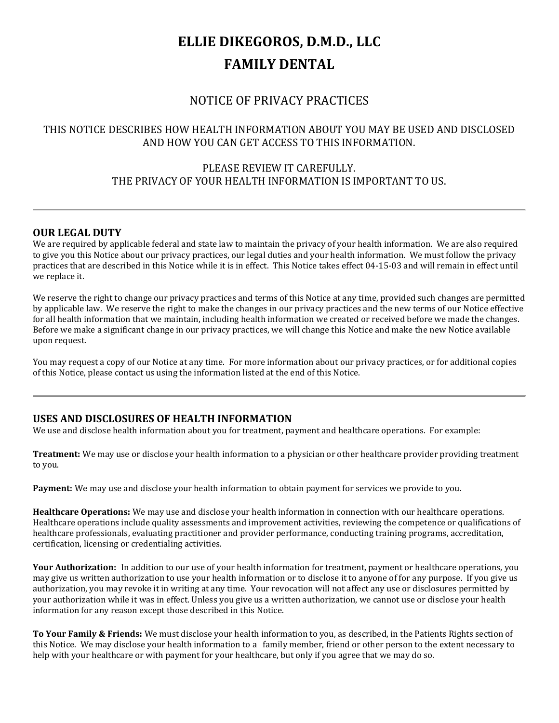# **ELLIE DIKEGOROS, D.M.D., LLC FAMILY DENTAL**

# NOTICE OF PRIVACY PRACTICES

# THIS NOTICE DESCRIBES HOW HEALTH INFORMATION ABOUT YOU MAY BE USED AND DISCLOSED AND HOW YOU CAN GET ACCESS TO THIS INFORMATION.

# PLEASE REVIEW IT CAREFULLY. THE PRIVACY OF YOUR HEALTH INFORMATION IS IMPORTANT TO US.

#### **OUR LEGAL DUTY**

We are required by applicable federal and state law to maintain the privacy of your health information. We are also required to give you this Notice about our privacy practices, our legal duties and your health information. We must follow the privacy practices that are described in this Notice while it is in effect. This Notice takes effect 04-15-03 and will remain in effect until we replace it.

We reserve the right to change our privacy practices and terms of this Notice at any time, provided such changes are permitted by applicable law. We reserve the right to make the changes in our privacy practices and the new terms of our Notice effective for all health information that we maintain, including health information we created or received before we made the changes. Before we make a significant change in our privacy practices, we will change this Notice and make the new Notice available upon request.

You may request a copy of our Notice at any time. For more information about our privacy practices, or for additional copies of this Notice, please contact us using the information listed at the end of this Notice.

#### **USES AND DISCLOSURES OF HEALTH INFORMATION**

We use and disclose health information about you for treatment, payment and healthcare operations. For example:

**Treatment:** We may use or disclose your health information to a physician or other healthcare provider providing treatment to you.

**Payment:** We may use and disclose your health information to obtain payment for services we provide to you.

**Healthcare Operations:** We may use and disclose your health information in connection with our healthcare operations. Healthcare operations include quality assessments and improvement activities, reviewing the competence or qualifications of healthcare professionals, evaluating practitioner and provider performance, conducting training programs, accreditation, certification, licensing or credentialing activities.

**Your Authorization:** In addition to our use of your health information for treatment, payment or healthcare operations, you may give us written authorization to use your health information or to disclose it to anyone of for any purpose. If you give us authorization, you may revoke it in writing at any time. Your revocation will not affect any use or disclosures permitted by your authorization while it was in effect. Unless you give us a written authorization, we cannot use or disclose your health information for any reason except those described in this Notice.

**To Your Family & Friends:** We must disclose your health information to you, as described, in the Patients Rights section of this Notice. We may disclose your health information to a family member, friend or other person to the extent necessary to help with your healthcare or with payment for your healthcare, but only if you agree that we may do so.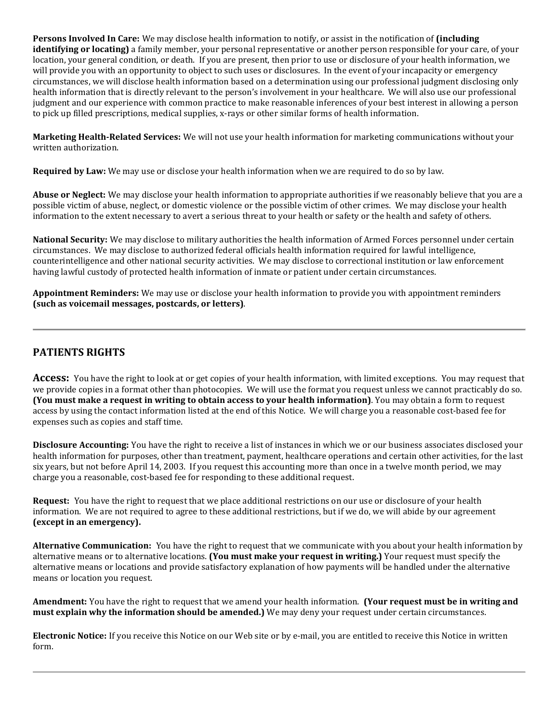**Persons Involved In Care:** We may disclose health information to notify, or assist in the notification of **(including identifying or locating)** a family member, your personal representative or another person responsible for your care, of your location, your general condition, or death. If you are present, then prior to use or disclosure of your health information, we will provide you with an opportunity to object to such uses or disclosures. In the event of your incapacity or emergency circumstances, we will disclose health information based on a determination using our professional judgment disclosing only health information that is directly relevant to the person's involvement in your healthcare. We will also use our professional judgment and our experience with common practice to make reasonable inferences of your best interest in allowing a person to pick up filled prescriptions, medical supplies, x-rays or other similar forms of health information.

**Marketing Health-Related Services:** We will not use your health information for marketing communications without your written authorization.

**Required by Law:** We may use or disclose your health information when we are required to do so by law.

**Abuse or Neglect:** We may disclose your health information to appropriate authorities if we reasonably believe that you are a possible victim of abuse, neglect, or domestic violence or the possible victim of other crimes. We may disclose your health information to the extent necessary to avert a serious threat to your health or safety or the health and safety of others.

**National Security:** We may disclose to military authorities the health information of Armed Forces personnel under certain circumstances. We may disclose to authorized federal officials health information required for lawful intelligence, counterintelligence and other national security activities. We may disclose to correctional institution or law enforcement having lawful custody of protected health information of inmate or patient under certain circumstances.

**Appointment Reminders:** We may use or disclose your health information to provide you with appointment reminders **(such as voicemail messages, postcards, or letters)**.

## **PATIENTS RIGHTS**

**Access:** You have the right to look at or get copies of your health information, with limited exceptions. You may request that we provide copies in a format other than photocopies. We will use the format you request unless we cannot practicably do so. **(You must make a request in writing to obtain access to your health information)**. You may obtain a form to request access by using the contact information listed at the end of this Notice. We will charge you a reasonable cost-based fee for expenses such as copies and staff time.

**Disclosure Accounting:** You have the right to receive a list of instances in which we or our business associates disclosed your health information for purposes, other than treatment, payment, healthcare operations and certain other activities, for the last six years, but not before April 14, 2003. If you request this accounting more than once in a twelve month period, we may charge you a reasonable, cost-based fee for responding to these additional request.

**Request:** You have the right to request that we place additional restrictions on our use or disclosure of your health information. We are not required to agree to these additional restrictions, but if we do, we will abide by our agreement **(except in an emergency).**

**Alternative Communication:** You have the right to request that we communicate with you about your health information by alternative means or to alternative locations. **(You must make your request in writing.)** Your request must specify the alternative means or locations and provide satisfactory explanation of how payments will be handled under the alternative means or location you request.

**Amendment:** You have the right to request that we amend your health information. **(Your request must be in writing and must explain why the information should be amended.)** We may deny your request under certain circumstances.

**Electronic Notice:** If you receive this Notice on our Web site or by e-mail, you are entitled to receive this Notice in written form.